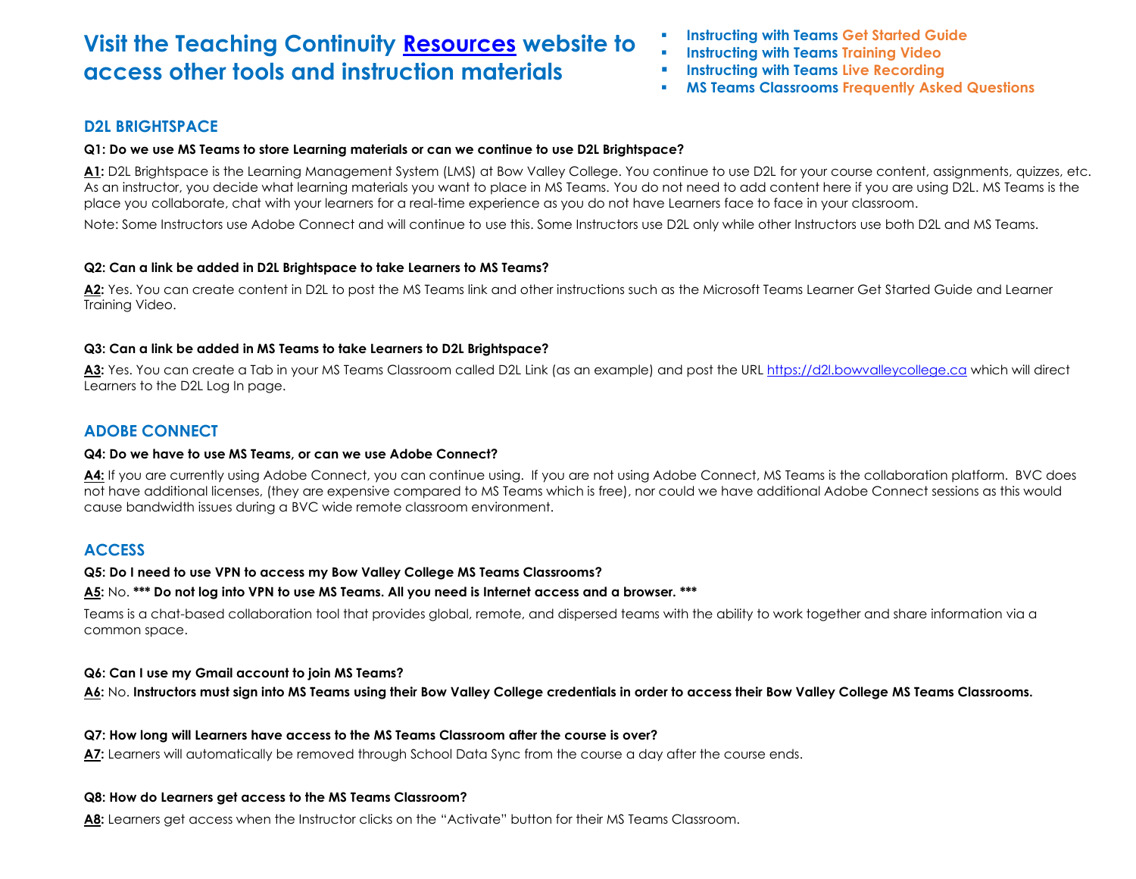# **Visit the Teaching Continuity [Resources](https://can01.safelinks.protection.outlook.com/?url=https%3A%2F%2Fbowvalleycollege.ca%2Fteaching-and-research%2Fresearch-and-innovation%2Fteaching-at-bow-valley-college%2Ftraining-and-development%2Fteaching-continuity&data=01%7C01%7Csdevries%40bowvalleycollege.ca%7Cb2e04c27b28a465bc50508d7caa460a3%7C8f11c6f4648e4c0cbb9996e8408a8e2a%7C1&sdata=t88vFexdzv5Sw%2FGd%2BPBjLg0O%2FgRiPdcWlj3jSD6djkE%3D&reserved=0) website to access other tools and instruction materials**

- **Instructing with Teams Get Started Guide**
- **Instructing with Teams Training Video**
- **Instructing with Teams Live Recording**
- **MS Teams Classrooms Frequently Asked Questions**

# **D2L BRIGHTSPACE**

### **Q1: Do we use MS Teams to store Learning materials or can we continue to use D2L Brightspace?**

A1: D2L Brightspace is the Learning Management System (LMS) at Bow Valley College. You continue to use D2L for your course content, assignments, quizzes, etc. As an instructor, you decide what learning materials you want to place in MS Teams. You do not need to add content here if you are using D2L. MS Teams is the place you collaborate, chat with your learners for a real-time experience as you do not have Learners face to face in your classroom.

Note: Some Instructors use Adobe Connect and will continue to use this. Some Instructors use D2L only while other Instructors use both D2L and MS Teams.

# **Q2: Can a link be added in D2L Brightspace to take Learners to MS Teams?**

**A2:** Yes. You can create content in D2L to post the MS Teams link and other instructions such as the Microsoft Teams Learner Get Started Guide and Learner Training Video.

# **Q3: Can a link be added in MS Teams to take Learners to D2L Brightspace?**

**A3:** Yes. You can create a Tab in your MS Teams Classroom called D2L Link (as an example) and post the UR[L https://d2l.bowvalleycollege.ca](https://d2l.bowvalleycollege.ca/) which will direct Learners to the D2L Log In page.

# **ADOBE CONNECT**

#### **Q4: Do we have to use MS Teams, or can we use Adobe Connect?**

A4: If you are currently using Adobe Connect, you can continue using. If you are not using Adobe Connect, MS Teams is the collaboration platform. BVC does not have additional licenses, (they are expensive compared to MS Teams which is free), nor could we have additional Adobe Connect sessions as this would cause bandwidth issues during a BVC wide remote classroom environment.

# **ACCESS**

#### **Q5: Do I need to use VPN to access my Bow Valley College MS Teams Classrooms?**

#### **A5:** No. **\*\*\* Do not log into VPN to use MS Teams. All you need is Internet access and a browser. \*\*\***

Teams is a chat-based collaboration tool that provides global, remote, and dispersed teams with the ability to work together and share information via a common space.

# **Q6: Can I use my Gmail account to join MS Teams?**

**A6:** No. **Instructors must sign into MS Teams using their Bow Valley College credentials in order to access their Bow Valley College MS Teams Classrooms.**

# **Q7: How long will Learners have access to the MS Teams Classroom after the course is over?**

**A7:** Learners will automatically be removed through School Data Sync from the course a day after the course ends.

# **Q8: How do Learners get access to the MS Teams Classroom?**

**A8:** Learners get access when the Instructor clicks on the "Activate" button for their MS Teams Classroom.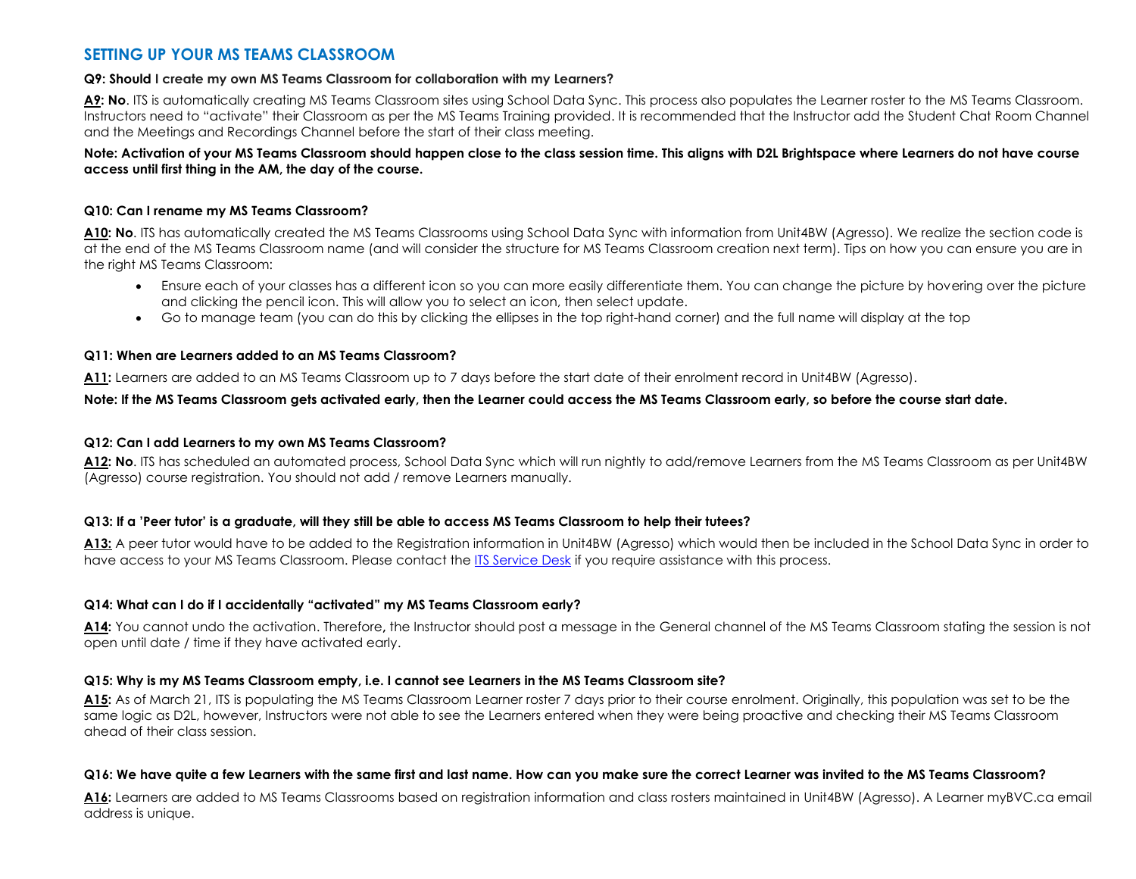# **SETTING UP YOUR MS TEAMS CLASSROOM**

#### **Q9: Should I create my own MS Teams Classroom for collaboration with my Learners?**

A9: No. ITS is automatically creating MS Teams Classroom sites using School Data Sync. This process also populates the Learner roster to the MS Teams Classroom. Instructors need to "activate" their Classroom as per the MS Teams Training provided. It is recommended that the Instructor add the Student Chat Room Channel and the Meetings and Recordings Channel before the start of their class meeting.

#### **Note: Activation of your MS Teams Classroom should happen close to the class session time. This aligns with D2L Brightspace where Learners do not have course access until first thing in the AM, the day of the course.**

#### **Q10: Can I rename my MS Teams Classroom?**

**A10: No**. ITS has automatically created the MS Teams Classrooms using School Data Sync with information from Unit4BW (Agresso). We realize the section code is at the end of the MS Teams Classroom name (and will consider the structure for MS Teams Classroom creation next term). Tips on how you can ensure you are in the right MS Teams Classroom:

- Ensure each of your classes has a different icon so you can more easily differentiate them. You can change the picture by hovering over the picture and clicking the pencil icon. This will allow you to select an icon, then select update.
- Go to manage team (you can do this by clicking the ellipses in the top right-hand corner) and the full name will display at the top

#### **Q11: When are Learners added to an MS Teams Classroom?**

**A11:** Learners are added to an MS Teams Classroom up to 7 days before the start date of their enrolment record in Unit4BW (Agresso).

#### **Note: If the MS Teams Classroom gets activated early, then the Learner could access the MS Teams Classroom early, so before the course start date.**

#### **Q12: Can I add Learners to my own MS Teams Classroom?**

**A12: No**. ITS has scheduled an automated process, School Data Sync which will run nightly to add/remove Learners from the MS Teams Classroom as per Unit4BW (Agresso) course registration. You should not add / remove Learners manually.

#### **Q13: If a 'Peer tutor' is a graduate, will they still be able to access MS Teams Classroom to help their tutees?**

**A13:** A peer tutor would have to be added to the Registration information in Unit4BW (Agresso) which would then be included in the School Data Sync in order to have access to your MS Teams Classroom. Please contact th[e ITS Service Desk](mailto:HelpDesk@BowValleyCollege.ca?subject=Please%20contact%20me%20I%20require%20HelpDesk%20Support.) if you require assistance with this process.

#### **Q14: What can I do if I accidentally "activated" my MS Teams Classroom early?**

**A14:** You cannot undo the activation. Therefore**,** the Instructor should post a message in the General channel of the MS Teams Classroom stating the session is not open until date / time if they have activated early.

#### **Q15: Why is my MS Teams Classroom empty, i.e. I cannot see Learners in the MS Teams Classroom site?**

**A15:** As of March 21, ITS is populating the MS Teams Classroom Learner roster 7 days prior to their course enrolment. Originally, this population was set to be the same logic as D2L, however, Instructors were not able to see the Learners entered when they were being proactive and checking their MS Teams Classroom ahead of their class session.

#### **Q16: We have quite a few Learners with the same first and last name. How can you make sure the correct Learner was invited to the MS Teams Classroom?**

**A16:** Learners are added to MS Teams Classrooms based on registration information and class rosters maintained in Unit4BW (Agresso). A Learner myBVC.ca email address is unique.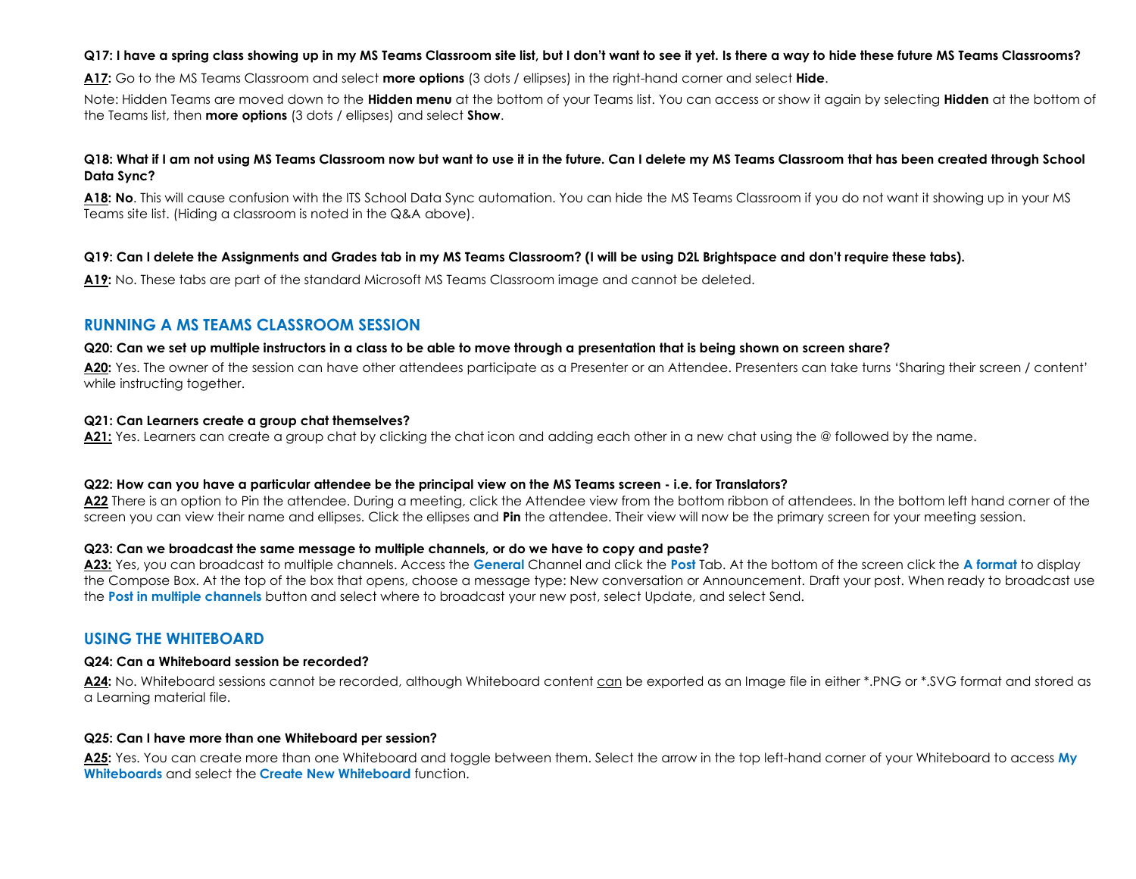#### **Q17: I have a spring class showing up in my MS Teams Classroom site list, but I don't want to see it yet. Is there a way to hide these future MS Teams Classrooms?**

**A17:** Go to the MS Teams Classroom and select **more options** (3 dots / ellipses) in the right-hand corner and select **Hide**.

Note: Hidden Teams are moved down to the **Hidden menu** at the bottom of your Teams list. You can access or show it again by selecting **Hidden** at the bottom of the Teams list, then **more options** (3 dots / ellipses) and select **Show**.

#### **Q18: What if I am not using MS Teams Classroom now but want to use it in the future. Can I delete my MS Teams Classroom that has been created through School Data Sync?**

**A18: No**. This will cause confusion with the ITS School Data Sync automation. You can hide the MS Teams Classroom if you do not want it showing up in your MS Teams site list. (Hiding a classroom is noted in the Q&A above).

#### **Q19: Can I delete the Assignments and Grades tab in my MS Teams Classroom? (I will be using D2L Brightspace and don't require these tabs).**

**A19:** No. These tabs are part of the standard Microsoft MS Teams Classroom image and cannot be deleted.

# **RUNNING A MS TEAMS CLASSROOM SESSION**

#### **Q20: Can we set up multiple instructors in a class to be able to move through a presentation that is being shown on screen share?**

**A20:** Yes. The owner of the session can have other attendees participate as a Presenter or an Attendee. Presenters can take turns 'Sharing their screen / content' while instructing together.

#### **Q21: Can Learners create a group chat themselves?**

**A21:** Yes. Learners can create a group chat by clicking the chat icon and adding each other in a new chat using the @ followed by the name.

#### **Q22: How can you have a particular attendee be the principal view on the MS Teams screen - i.e. for Translators?**

**A22** There is an option to Pin the attendee. During a meeting, click the Attendee view from the bottom ribbon of attendees. In the bottom left hand corner of the screen you can view their name and ellipses. Click the ellipses and **Pin** the attendee. Their view will now be the primary screen for your meeting session.

#### **Q23: Can we broadcast the same message to multiple channels, or do we have to copy and paste?**

**A23:** Yes, you can broadcast to multiple channels. Access the **General** Channel and click the **Post** Tab. At the bottom of the screen click the **A format** to display the Compose Box. At the top of the box that opens, choose a message type: New conversation or Announcement. Draft your post. When ready to broadcast use the **Post in multiple channels** button and select where to broadcast your new post, select Update, and select Send.

# **USING THE WHITEBOARD**

#### **Q24: Can a Whiteboard session be recorded?**

**A24:** No. Whiteboard sessions cannot be recorded, although Whiteboard content can be exported as an Image file in either \*.PNG or \*.SVG format and stored as a Learning material file.

#### **Q25: Can I have more than one Whiteboard per session?**

**A25:** Yes. You can create more than one Whiteboard and toggle between them. Select the arrow in the top left-hand corner of your Whiteboard to access **My Whiteboards** and select the **Create New Whiteboard** function.